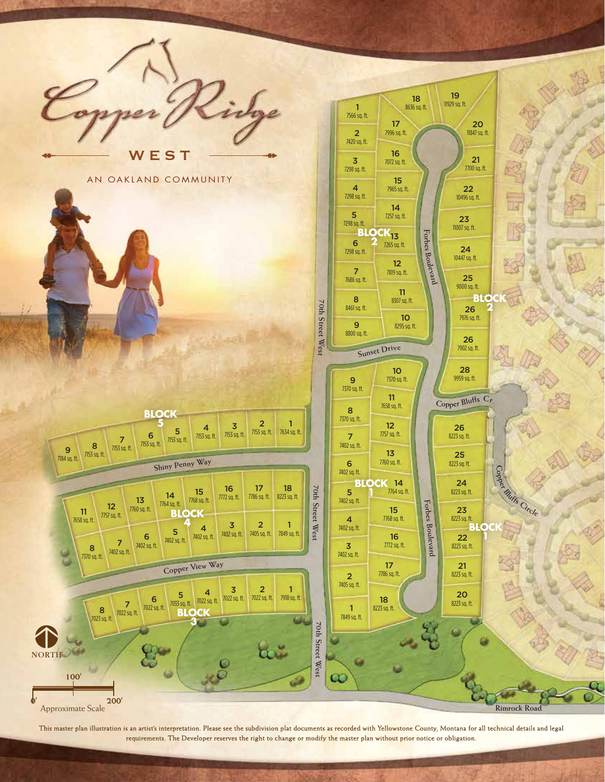

This master plan illustration is an artist's interpretation. Please see the subdivision plat documents as recorded with Yellowstone County, Montana for all technical details and legal requirements. The Developer reserves the right to change or modify the master plan without prior notice or obligation.